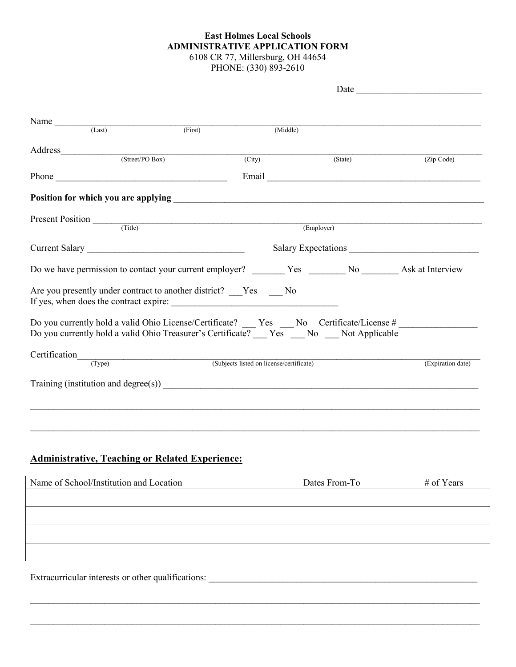## **East Holmes Local Schools ADMINISTRATIVE APPLICATION FORM** 6108 CR 77, Millersburg, OH 44654 PHONE: (330) 893-2610

| Name $\frac{1}{(Last)}$                                                                                                                                                                                                                                                                                                          | (First) | (Middle)                                 |           |                   |
|----------------------------------------------------------------------------------------------------------------------------------------------------------------------------------------------------------------------------------------------------------------------------------------------------------------------------------|---------|------------------------------------------|-----------|-------------------|
|                                                                                                                                                                                                                                                                                                                                  |         |                                          |           |                   |
| (Street/PO Box)                                                                                                                                                                                                                                                                                                                  |         | $\overline{(City)}$                      | (State)   | (Zip Code)        |
|                                                                                                                                                                                                                                                                                                                                  |         |                                          |           |                   |
|                                                                                                                                                                                                                                                                                                                                  |         |                                          |           |                   |
| Present Position (Title)                                                                                                                                                                                                                                                                                                         |         |                                          | $(Em\nu)$ |                   |
|                                                                                                                                                                                                                                                                                                                                  |         |                                          |           |                   |
|                                                                                                                                                                                                                                                                                                                                  |         |                                          |           |                   |
|                                                                                                                                                                                                                                                                                                                                  |         |                                          |           |                   |
| Are you presently under contract to another district? Thes Theory                                                                                                                                                                                                                                                                |         |                                          |           |                   |
| Do you currently hold a valid Ohio License/Certificate? ____ Yes ____ No Certificate/License # _______________<br>Do you currently hold a valid Ohio Treasurer's Certificate? ___ Yes ___ No ___ Not Applicable                                                                                                                  |         |                                          |           |                   |
| Certification_                                                                                                                                                                                                                                                                                                                   |         |                                          |           |                   |
| (Type)                                                                                                                                                                                                                                                                                                                           |         | (Subjects listed on license/certificate) |           | (Expiration date) |
| Training (institution and degree(s)) $\qquad \qquad$ (3) $\qquad \qquad$ (3) $\qquad \qquad$ (3) $\qquad \qquad$ (3) $\qquad \qquad$ (3) $\qquad \qquad$ (3) $\qquad \qquad$ (3) $\qquad \qquad$ (3) $\qquad \qquad$ (3) $\qquad \qquad$ (3) $\qquad \qquad$ (3) $\qquad \qquad$ (3) $\qquad \qquad$ (3) $\qquad \qquad$ (3) $\$ |         |                                          |           |                   |
|                                                                                                                                                                                                                                                                                                                                  |         |                                          |           |                   |
|                                                                                                                                                                                                                                                                                                                                  |         |                                          |           |                   |
|                                                                                                                                                                                                                                                                                                                                  |         |                                          |           |                   |

## **Administrative, Teaching or Related Experience:**

| Name of School/Institution and Location | Dates From-To | # of Years |
|-----------------------------------------|---------------|------------|
|                                         |               |            |
|                                         |               |            |
|                                         |               |            |
|                                         |               |            |
|                                         |               |            |
|                                         |               |            |

 $\_$  , and the contribution of the contribution of the contribution of the contribution of the contribution of  $\mathcal{L}_\text{max}$ 

 $\_$  , and the contribution of the contribution of the contribution of the contribution of the contribution of  $\mathcal{L}_\text{max}$ 

Extracurricular interests or other qualifications: \_\_\_\_\_\_\_\_\_\_\_\_\_\_\_\_\_\_\_\_\_\_\_\_\_\_\_\_\_\_\_\_\_\_\_\_\_\_\_\_\_\_\_\_\_\_\_\_\_\_\_\_\_\_\_\_\_\_